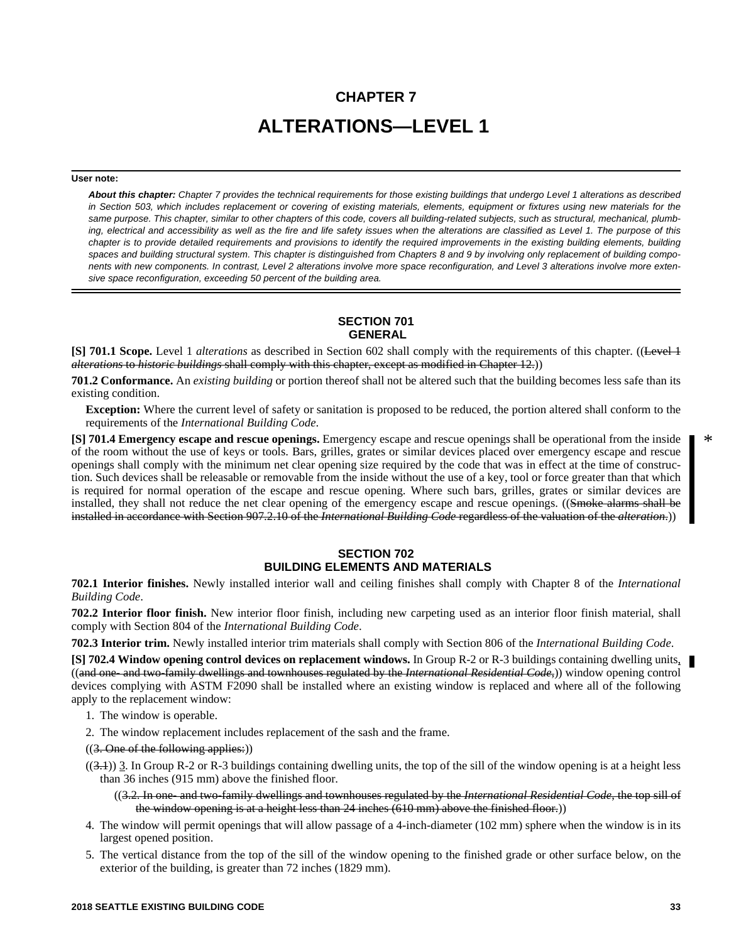# **CHAPTER 7 ALTERATIONS—LEVEL 1**

#### **User note:**

*About this chapter: Chapter 7 provides the technical requirements for those existing buildings that undergo Level 1 alterations as described in Section 503, which includes replacement or covering of existing materials, elements, equipment or fixtures using new materials for the same purpose. This chapter, similar to other chapters of this code, covers all building-related subjects, such as structural, mechanical, plumbing, electrical and accessibility as well as the fire and life safety issues when the alterations are classified as Level 1. The purpose of this chapter is to provide detailed requirements and provisions to identify the required improvements in the existing building elements, building spaces and building structural system. This chapter is distinguished from Chapters 8 and 9 by involving only replacement of building components with new components. In contrast, Level 2 alterations involve more space reconfiguration, and Level 3 alterations involve more extensive space reconfiguration, exceeding 50 percent of the building area.*

# **SECTION 701 GENERAL**

**[S] 701.1 Scope.** Level 1 *alterations* as described in Section 602 shall comply with the requirements of this chapter. ((Level 1) *alterations* to *historic buildings* shall comply with this chapter, except as modified in Chapter 12.))

**701.2 Conformance.** An *existing building* or portion thereof shall not be altered such that the building becomes less safe than its existing condition.

**Exception:** Where the current level of safety or sanitation is proposed to be reduced, the portion altered shall conform to the requirements of the *International Building Code*.

**[S] 701.4 Emergency escape and rescue openings.** Emergency escape and rescue openings shall be operational from the inside of the room without the use of keys or tools. Bars, grilles, grates or similar devices placed over emergency escape and rescue openings shall comply with the minimum net clear opening size required by the code that was in effect at the time of construction. Such devices shall be releasable or removable from the inside without the use of a key, tool or force greater than that which is required for normal operation of the escape and rescue opening. Where such bars, grilles, grates or similar devices are installed, they shall not reduce the net clear opening of the emergency escape and rescue openings. ((Smoke alarms shall be installed in accordance with Section 907.2.10 of the *International Building Code* regardless of the valuation of the *alteration*.))

# **SECTION 702 BUILDING ELEMENTS AND MATERIALS**

**702.1 Interior finishes.** Newly installed interior wall and ceiling finishes shall comply with Chapter 8 of the *International Building Code*.

**702.2 Interior floor finish.** New interior floor finish, including new carpeting used as an interior floor finish material, shall comply with Section 804 of the *International Building Code*.

**702.3 Interior trim.** Newly installed interior trim materials shall comply with Section 806 of the *International Building Code*.

**[S] 702.4 Window opening control devices on replacement windows.** In Group R-2 or R-3 buildings containing dwelling units, ((and one- and two-family dwellings and townhouses regulated by the *International Residential Code*,)) window opening control devices complying with ASTM F2090 shall be installed where an existing window is replaced and where all of the following apply to the replacement window:

- 1. The window is operable.
- 2. The window replacement includes replacement of the sash and the frame.

 $((3. One of the following applies:))$ 

 $((3.1))$  3. In Group R-2 or R-3 buildings containing dwelling units, the top of the sill of the window opening is at a height less than 36 inches (915 mm) above the finished floor.

((3.2. In one- and two-family dwellings and townhouses regulated by the *International Residential Code*, the top sill of the window opening is at a height less than 24 inches (610 mm) above the finished floor.))

- 4. The window will permit openings that will allow passage of a 4-inch-diameter (102 mm) sphere when the window is in its largest opened position.
- 5. The vertical distance from the top of the sill of the window opening to the finished grade or other surface below, on the exterior of the building, is greater than 72 inches (1829 mm).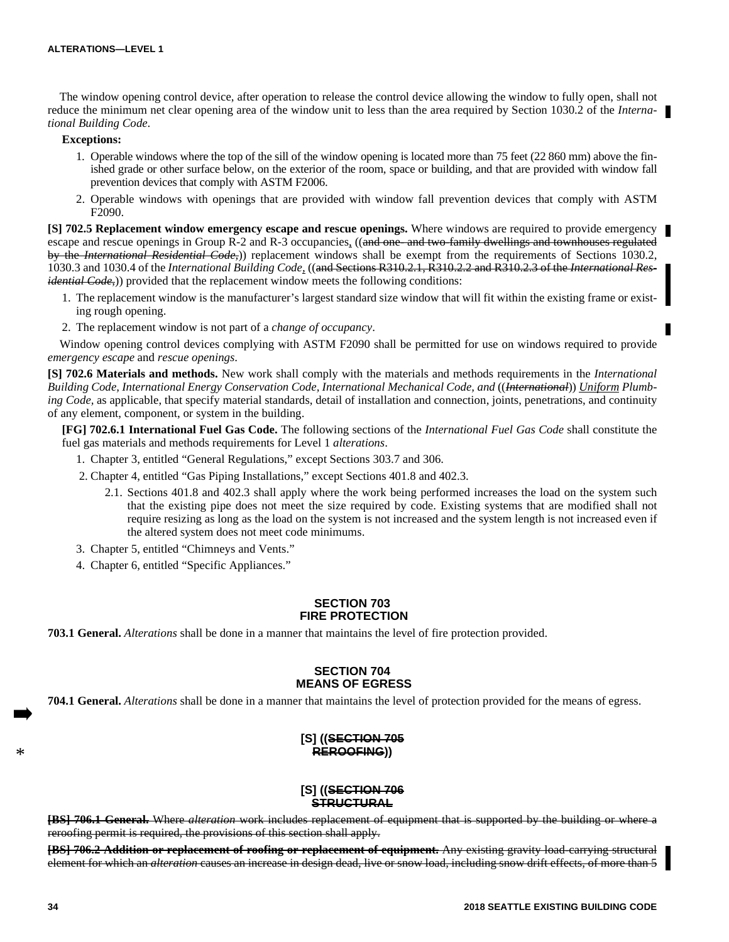The window opening control device, after operation to release the control device allowing the window to fully open, shall not reduce the minimum net clear opening area of the window unit to less than the area required by Section 1030.2 of the *International Building Code*.

### **Exceptions:**

- 1. Operable windows where the top of the sill of the window opening is located more than 75 feet (22 860 mm) above the finished grade or other surface below, on the exterior of the room, space or building, and that are provided with window fall prevention devices that comply with ASTM F2006.
- 2. Operable windows with openings that are provided with window fall prevention devices that comply with ASTM F2090.

**[S] 702.5 Replacement window emergency escape and rescue openings.** Where windows are required to provide emergency escape and rescue openings in Group R-2 and R-3 occupancies, ((and one- and two-family dwellings and townhouses regulated by the *International Residential Code,*)) replacement windows shall be exempt from the requirements of Sections 1030.2, 1030.3 and 1030.4 of the *International Building Code,* ((and Sections R310.2.1, R310.2.2 and R310.2.3 of the *International Residential Code*,)) provided that the replacement window meets the following conditions:

- 1. The replacement window is the manufacturer's largest standard size window that will fit within the existing frame or existing rough opening.
- 2. The replacement window is not part of a *change of occupancy*.

Window opening control devices complying with ASTM F2090 shall be permitted for use on windows required to provide *emergency escape* and *rescue openings*.

**[S] 702.6 Materials and methods.** New work shall comply with the materials and methods requirements in the *International Building Code, International Energy Conservation Code, International Mechanical Code, and* ((*International*)) *Uniform Plumbing Code,* as applicable, that specify material standards, detail of installation and connection, joints, penetrations, and continuity of any element, component, or system in the building.

**[FG] 702.6.1 International Fuel Gas Code.** The following sections of the *International Fuel Gas Code* shall constitute the fuel gas materials and methods requirements for Level 1 *alterations*.

- 1. Chapter 3, entitled "General Regulations," except Sections 303.7 and 306.
- 2. Chapter 4, entitled "Gas Piping Installations," except Sections 401.8 and 402.3.
	- 2.1. Sections 401.8 and 402.3 shall apply where the work being performed increases the load on the system such that the existing pipe does not meet the size required by code. Existing systems that are modified shall not require resizing as long as the load on the system is not increased and the system length is not increased even if the altered system does not meet code minimums.

3. Chapter 5, entitled "Chimneys and Vents."

4. Chapter 6, entitled "Specific Appliances."

## **SECTION 703 FIRE PROTECTION**

**703.1 General.** *Alterations* shall be done in a manner that maintains the level of fire protection provided.

# **SECTION 704 MEANS OF EGRESS**

**704.1 General.** *Alterations* shall be done in a manner that maintains the level of protection provided for the means of egress.

# **[S] ((SECTION 705 REROOFING))**

# **[S] ((SECTION 706 STRUCTURAL**

**[BS] 706.1 General.** Where *alteration* work includes replacement of equipment that is supported by the building or where a reroofing permit is required, the provisions of this section shall apply.

**[BS] 706.2 Addition or replacement of roofing or replacement of equipment.** Any existing gravity load-carrying structural element for which an *alteration* causes an increase in design dead, live or snow load, including snow drift effects, of more than 5

\*